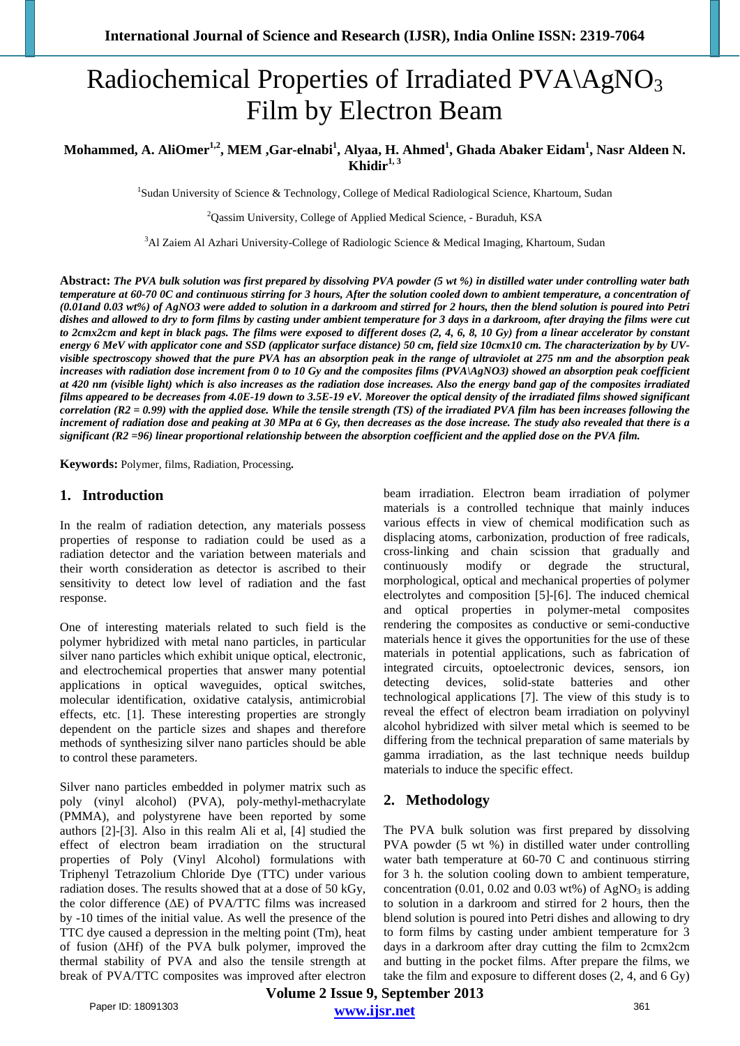# Radiochemical Properties of Irradiated PVA\AgNO3 Film by Electron Beam

### **Mohammed, A. AliOmer1,2, MEM ,Gar-elnabi1 , Alyaa, H. Ahmed1 , Ghada Abaker Eidam1 , Nasr Aldeen N.**  Khidi $r^{1,3}$

<sup>1</sup>Sudan University of Science & Technology, College of Medical Radiological Science, Khartoum, Sudan

<sup>2</sup>Qassim University, College of Applied Medical Science, - Buraduh, KSA

<sup>3</sup>Al Zaiem Al Azhari University-College of Radiologic Science & Medical Imaging, Khartoum, Sudan

**Abstract:** *The PVA bulk solution was first prepared by dissolving PVA powder (5 wt %) in distilled water under controlling water bath temperature at 60-70 0C and continuous stirring for 3 hours, After the solution cooled down to ambient temperature, a concentration of (0.01and 0.03 wt%) of AgNO3 were added to solution in a darkroom and stirred for 2 hours, then the blend solution is poured into Petri dishes and allowed to dry to form films by casting under ambient temperature for 3 days in a darkroom, after draying the films were cut to 2cmx2cm and kept in black pags. The films were exposed to different doses (2, 4, 6, 8, 10 Gy) from a linear accelerator by constant energy 6 MeV with applicator cone and SSD (applicator surface distance) 50 cm, field size 10cmx10 cm. The characterization by by UVvisible spectroscopy showed that the pure PVA has an absorption peak in the range of ultraviolet at 275 nm and the absorption peak increases with radiation dose increment from 0 to 10 Gy and the composites films (PVA\AgNO3) showed an absorption peak coefficient at 420 nm (visible light) which is also increases as the radiation dose increases. Also the energy band gap of the composites irradiated films appeared to be decreases from 4.0E-19 down to 3.5E-19 eV. Moreover the optical density of the irradiated films showed significant correlation (R2 = 0.99) with the applied dose. While the tensile strength (TS) of the irradiated PVA film has been increases following the increment of radiation dose and peaking at 30 MPa at 6 Gy, then decreases as the dose increase. The study also revealed that there is a significant (R2 =96) linear proportional relationship between the absorption coefficient and the applied dose on the PVA film.* 

**Keywords:** Polymer, films, Radiation, Processing**.** 

#### **1. Introduction**

In the realm of radiation detection, any materials possess properties of response to radiation could be used as a radiation detector and the variation between materials and their worth consideration as detector is ascribed to their sensitivity to detect low level of radiation and the fast response.

One of interesting materials related to such field is the polymer hybridized with metal nano particles, in particular silver nano particles which exhibit unique optical, electronic, and electrochemical properties that answer many potential applications in optical waveguides, optical switches, molecular identification, oxidative catalysis, antimicrobial effects, etc. [1]. These interesting properties are strongly dependent on the particle sizes and shapes and therefore methods of synthesizing silver nano particles should be able to control these parameters.

Silver nano particles embedded in polymer matrix such as poly (vinyl alcohol) (PVA), poly-methyl-methacrylate (PMMA), and polystyrene have been reported by some authors [2]-[3]. Also in this realm Ali et al, [4] studied the effect of electron beam irradiation on the structural properties of Poly (Vinyl Alcohol) formulations with Triphenyl Tetrazolium Chloride Dye (TTC) under various radiation doses. The results showed that at a dose of 50 kGy, the color difference (ΔE) of PVA/TTC films was increased by -10 times of the initial value. As well the presence of the TTC dye caused a depression in the melting point (Tm), heat of fusion (ΔHf) of the PVA bulk polymer, improved the thermal stability of PVA and also the tensile strength at break of PVA/TTC composites was improved after electron beam irradiation. Electron beam irradiation of polymer materials is a controlled technique that mainly induces various effects in view of chemical modification such as displacing atoms, carbonization, production of free radicals, cross-linking and chain scission that gradually and continuously modify or degrade the structural, morphological, optical and mechanical properties of polymer electrolytes and composition [5]-[6]. The induced chemical and optical properties in polymer-metal composites rendering the composites as conductive or semi-conductive materials hence it gives the opportunities for the use of these materials in potential applications, such as fabrication of integrated circuits, optoelectronic devices, sensors, ion detecting devices, solid-state batteries and other technological applications [7]. The view of this study is to reveal the effect of electron beam irradiation on polyvinyl alcohol hybridized with silver metal which is seemed to be differing from the technical preparation of same materials by gamma irradiation, as the last technique needs buildup materials to induce the specific effect.

## **2. Methodology**

The PVA bulk solution was first prepared by dissolving PVA powder (5 wt %) in distilled water under controlling water bath temperature at 60-70 C and continuous stirring for 3 h. the solution cooling down to ambient temperature, concentration (0.01, 0.02 and 0.03 wt%) of  $AgNO<sub>3</sub>$  is adding to solution in a darkroom and stirred for 2 hours, then the blend solution is poured into Petri dishes and allowing to dry to form films by casting under ambient temperature for 3 days in a darkroom after dray cutting the film to 2cmx2cm and butting in the pocket films. After prepare the films, we take the film and exposure to different doses (2, 4, and 6 Gy)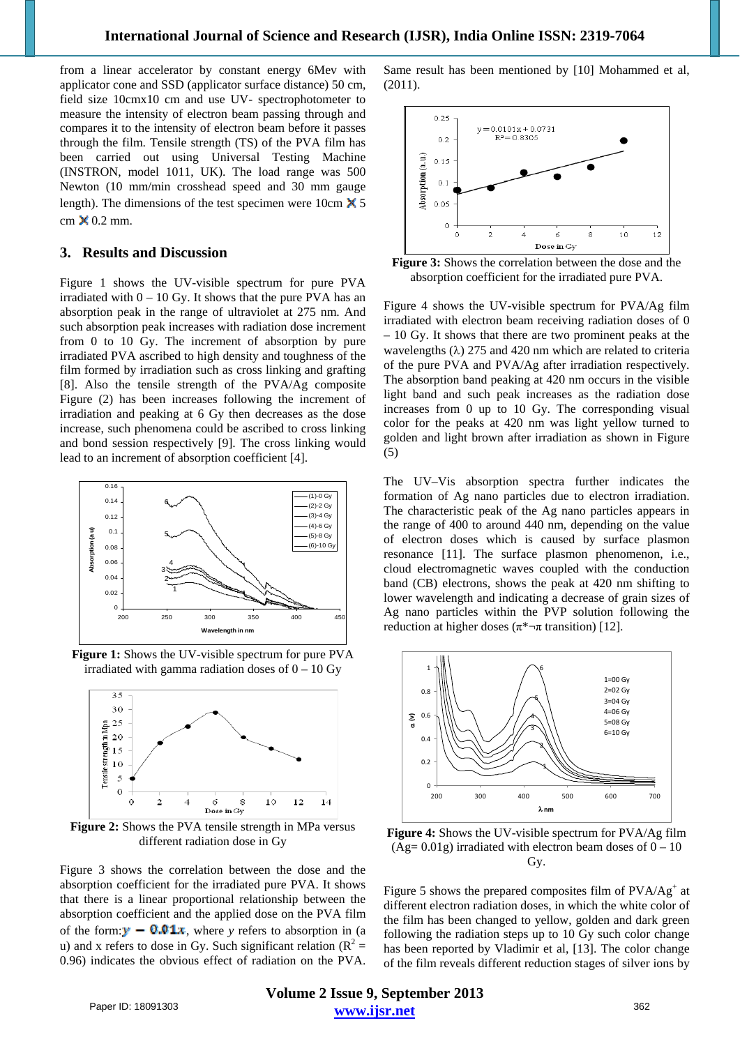from a linear accelerator by constant energy 6Mev with applicator cone and SSD (applicator surface distance) 50 cm, field size 10cmx10 cm and use UV- spectrophotometer to measure the intensity of electron beam passing through and compares it to the intensity of electron beam before it passes through the film. Tensile strength (TS) of the PVA film has been carried out using Universal Testing Machine (INSTRON, model 1011, UK). The load range was 500 Newton (10 mm/min crosshead speed and 30 mm gauge length). The dimensions of the test specimen were 10cm  $\times$  5 cm  $\mathsf{X}$  0.2 mm.

#### **3. Results and Discussion**

Figure 1 shows the UV-visible spectrum for pure PVA irradiated with  $0 - 10$  Gy. It shows that the pure PVA has an absorption peak in the range of ultraviolet at 275 nm. And such absorption peak increases with radiation dose increment from 0 to 10 Gy. The increment of absorption by pure irradiated PVA ascribed to high density and toughness of the film formed by irradiation such as cross linking and grafting [8]. Also the tensile strength of the PVA/Ag composite Figure (2) has been increases following the increment of irradiation and peaking at 6 Gy then decreases as the dose increase, such phenomena could be ascribed to cross linking and bond session respectively [9]. The cross linking would lead to an increment of absorption coefficient [4].



**Figure 1:** Shows the UV-visible spectrum for pure PVA irradiated with gamma radiation doses of  $0 - 10$  Gy



Figure 2: Shows the PVA tensile strength in MPa versus different radiation dose in Gy

Figure 3 shows the correlation between the dose and the absorption coefficient for the irradiated pure PVA. It shows that there is a linear proportional relationship between the absorption coefficient and the applied dose on the PVA film of the form:  $\mathbf{y} = 0.01x$ , where y refers to absorption in (a u) and x refers to dose in Gy. Such significant relation ( $R^2 =$ 0.96) indicates the obvious effect of radiation on the PVA.

Same result has been mentioned by [10] Mohammed et al, (2011).



**Figure 3:** Shows the correlation between the dose and the absorption coefficient for the irradiated pure PVA.

Figure 4 shows the UV-visible spectrum for PVA/Ag film irradiated with electron beam receiving radiation doses of 0 – 10 Gy. It shows that there are two prominent peaks at the wavelengths  $(\lambda)$  275 and 420 nm which are related to criteria of the pure PVA and PVA/Ag after irradiation respectively. The absorption band peaking at 420 nm occurs in the visible light band and such peak increases as the radiation dose increases from 0 up to 10 Gy. The corresponding visual color for the peaks at 420 nm was light yellow turned to golden and light brown after irradiation as shown in Figure (5)

The UV–Vis absorption spectra further indicates the formation of Ag nano particles due to electron irradiation. The characteristic peak of the Ag nano particles appears in the range of 400 to around 440 nm, depending on the value of electron doses which is caused by surface plasmon resonance [11]. The surface plasmon phenomenon, i.e., cloud electromagnetic waves coupled with the conduction band (CB) electrons, shows the peak at 420 nm shifting to lower wavelength and indicating a decrease of grain sizes of Ag nano particles within the PVP solution following the reduction at higher doses ( $\pi^*$ ¬ $\pi$  transition) [12].



**Figure 4:** Shows the UV-visible spectrum for PVA/Ag film  $(Ag= 0.01g)$  irradiated with electron beam doses of  $0 - 10$ Gy.

Figure 5 shows the prepared composites film of  $PVA/Ag^+$  at different electron radiation doses, in which the white color of the film has been changed to yellow, golden and dark green following the radiation steps up to 10 Gy such color change has been reported by Vladimir et al, [13]. The color change of the film reveals different reduction stages of silver ions by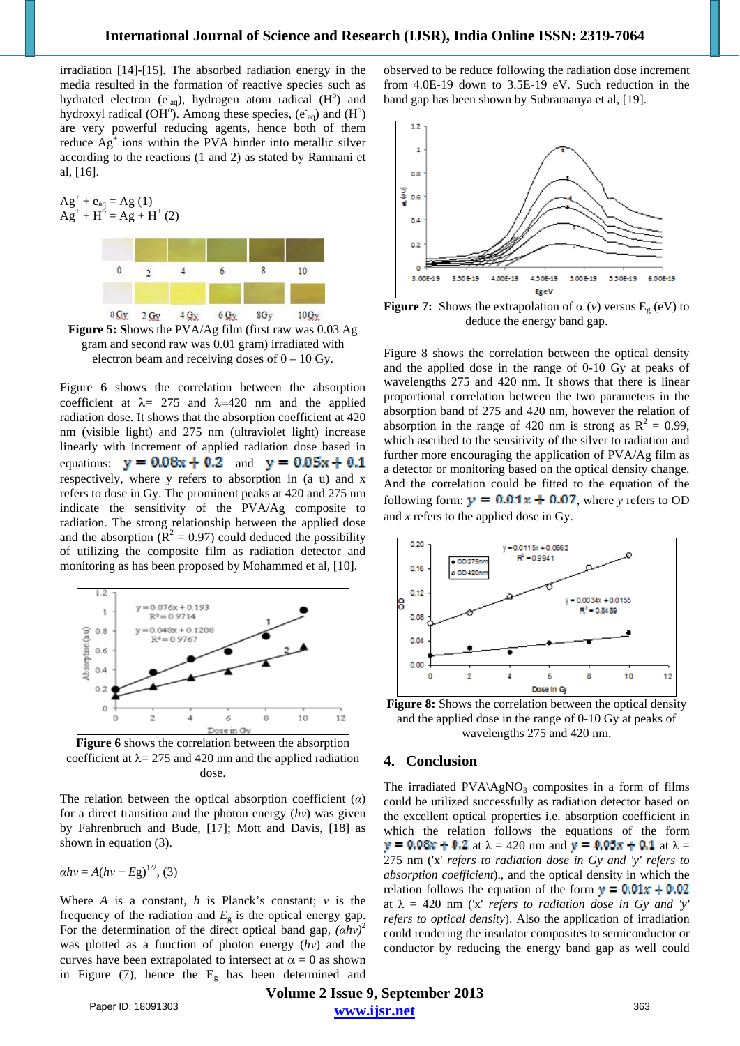irradiation [14]-[15]. The absorbed radiation energy in the media resulted in the formation of reactive species such as hydrated electron ( $e_{aq}$ ), hydrogen atom radical ( $H^0$ ) and hydroxyl radical (OH<sup>o</sup>). Among these species, ( $e_{aq}$ ) and (H<sup>o</sup>) are very powerful reducing agents, hence both of them reduce  $Ag^+$  ions within the PVA binder into metallic silver according to the reactions (1 and 2) as stated by Ramnani et al, [16].

 $Ag^{+} + e_{aq} = Ag(1)$  $\overline{Ag}^+ + H^0 = \overline{Ag} + H^+(2)$  $\theta$  $\sqrt{4}$ 6  $\mathbf{S}$ 10  $\mathfrak{I}$ 6 Gy  $0 G_X$ 8Gy  $10Qy$  $2 Gy$  $4 \times$ 

**Figure 5: S**hows the PVA/Ag film (first raw was 0.03 Ag gram and second raw was 0.01 gram) irradiated with electron beam and receiving doses of  $0 - 10$  Gy.

Figure 6 shows the correlation between the absorption coefficient at  $\lambda = 275$  and  $\lambda = 420$  nm and the applied radiation dose. It shows that the absorption coefficient at 420 nm (visible light) and 275 nm (ultraviolet light) increase linearly with increment of applied radiation dose based in equations:  $y = 0.08x + 0.2$  and  $y = 0.05x + 0.1$ respectively, where y refers to absorption in (a u) and x refers to dose in Gy. The prominent peaks at 420 and 275 nm indicate the sensitivity of the PVA/Ag composite to radiation. The strong relationship between the applied dose and the absorption ( $\mathbb{R}^2 = 0.97$ ) could deduced the possibility of utilizing the composite film as radiation detector and monitoring as has been proposed by Mohammed et al, [10].



**Figure 6** shows the correlation between the absorption coefficient at  $\lambda = 275$  and 420 nm and the applied radiation dose.

The relation between the optical absorption coefficient (*α*) for a direct transition and the photon energy (*hν*) was given by Fahrenbruch and Bude, [17]; Mott and Davis, [18] as shown in equation (3).

$$
ahv = A(hv - Eg)^{1/2}, (3)
$$

Where *A* is a constant, *h* is Planck's constant; *ν* is the frequency of the radiation and  $E<sub>g</sub>$  is the optical energy gap. For the determination of the direct optical band gap,  $(ahv)^2$ was plotted as a function of photon energy (*hν*) and the curves have been extrapolated to intersect at  $\alpha = 0$  as shown in Figure (7), hence the  $E_g$  has been determined and observed to be reduce following the radiation dose increment from 4.0E-19 down to 3.5E-19 eV. Such reduction in the band gap has been shown by Subramanya et al, [19].



**Figure 7:** Shows the extrapolation of  $\alpha$  (*v*) versus E<sub>g</sub> (eV) to deduce the energy band gap.

Figure 8 shows the correlation between the optical density and the applied dose in the range of 0-10 Gy at peaks of wavelengths 275 and 420 nm. It shows that there is linear proportional correlation between the two parameters in the absorption band of 275 and 420 nm, however the relation of absorption in the range of 420 nm is strong as  $R^2 = 0.99$ , which ascribed to the sensitivity of the silver to radiation and further more encouraging the application of PVA/Ag film as a detector or monitoring based on the optical density change. And the correlation could be fitted to the equation of the following form:  $y = 0.01x + 0.07$ , where y refers to OD and *x* refers to the applied dose in Gy.



**Figure 8:** Shows the correlation between the optical density and the applied dose in the range of 0-10 Gy at peaks of wavelengths 275 and 420 nm.

#### **4. Conclusion**

The irradiated  $PVA \triangle AgNO<sub>3</sub>$  composites in a form of films could be utilized successfully as radiation detector based on the excellent optical properties i.e. absorption coefficient in which the relation follows the equations of the form  $x = 0.08x + 0.2$  at  $\lambda = 420$  nm and  $x = 0.05x + 0.1$  at  $\lambda =$ 275 nm ('x' *refers to radiation dose in Gy and 'y' refers to absorption coefficient*)., and the optical density in which the relation follows the equation of the form  $y = 0.01x + 0.02$ at  $\lambda = 420$  nm ('x' *refers to radiation dose in Gy and 'y' refers to optical density*). Also the application of irradiation could rendering the insulator composites to semiconductor or conductor by reducing the energy band gap as well could

**Volume 2 Issue 9, September 2013 www.ijsr.net** Paper ID: 18091303 363